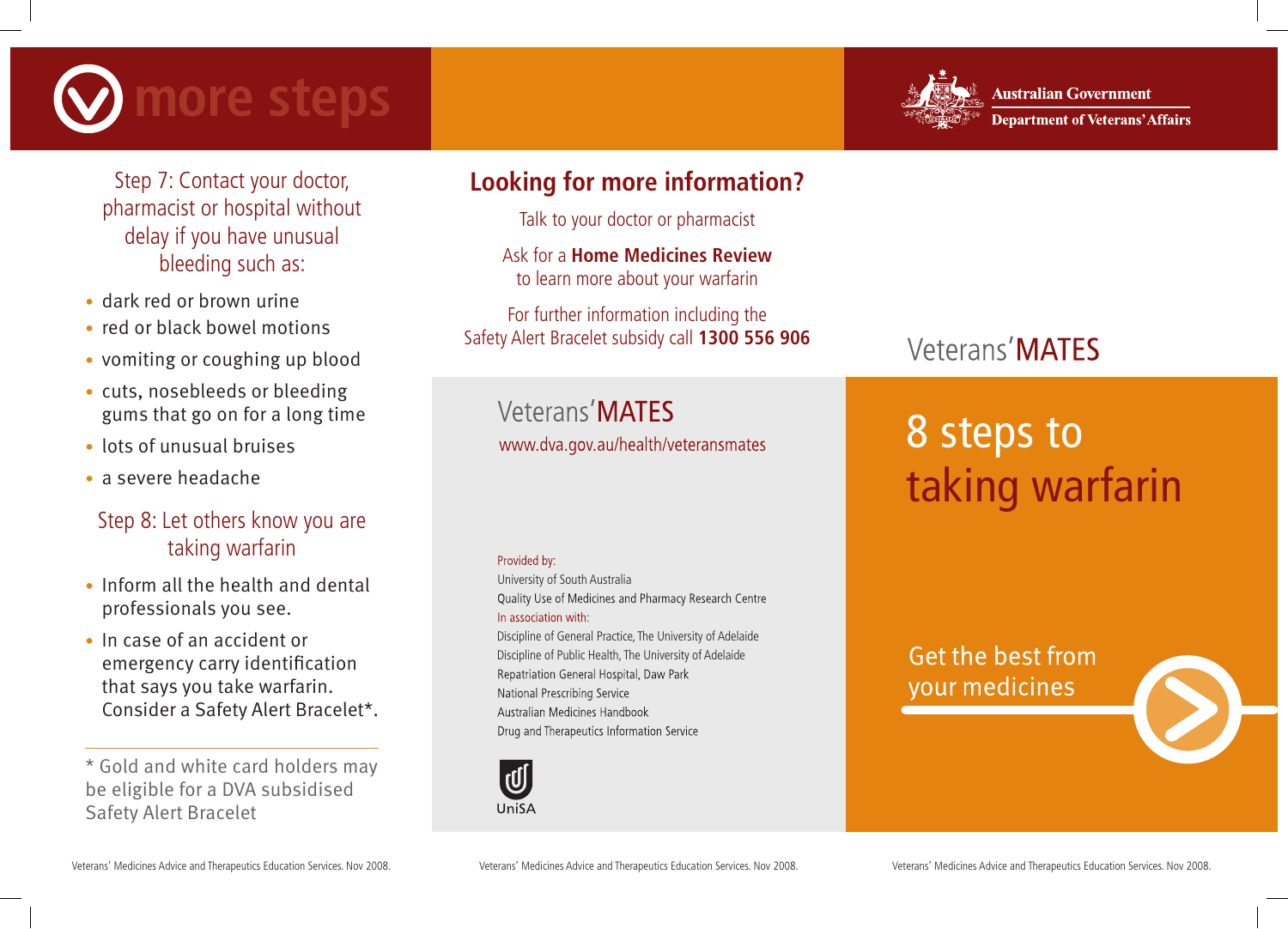



**Australian Government Department of Veterans' Affairs** 

Step 7: Contact your doctor, pharmacist or hospital without delay if you have unusual bleeding such as:

- dark red or brown urine
- red or black bowel motions
- vomiting or coughing up blood
- cuts, nosebleeds or bleeding gums that go on for a long time
- lots of unusual bruises
- a severe headache

#### Step 8: Let others know you are taking warfarin

- Inform all the health and dental professionals you see.
- In case of an accident or emergency carry identification that says you take warfarin. Consider a Safety Alert Bracelet\*.

\* Gold and white card holders may be eligible for a DVA subsidised Safety Alert Bracelet

#### **Looking for more information?**

Talk to your doctor or pharmacist

Ask for a **Home Medicines Review** to learn more about your warfarin

For further information including the Safety Alert Bracelet subsidy call **1300 556 906**

Veterans'MATFS www.dva.gov.au/health/veteransmates

#### Provided by:

University of South Australia Quality Use of Medicines and Pharmacy Research Centre In association with: Discipline of General Practice, The University of Adelaide Discipline of Public Health, The University of Adelaide Repatriation General Hospital, Daw Park National Prescribing Service Australian Medicines Handbook Drug and Therapeutics Information Service



### Veterans'MATFS

## 8 steps to taking warfarin

Get the best from your medicines